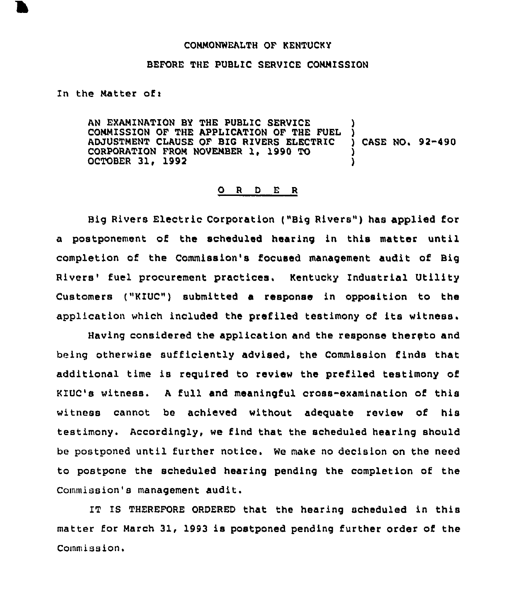## COMMONWEALTH OF KENTUCKY

## BEFORE THE PUBLIC SERVICE COMMISSION

In the Matter of:

AN EXAMINATION BY THE PUBLIC SERVICE COMMISSION OF THE APPLICATION OF THE FUEL ADJUSTMENT CLAUSE OF BIC RIVERS ELECTRIC CORPORATION FROM NOVEMBER 1, 1990 TO OCTOBER 31, 1992 ) ) ) CASE NO. 92-490 ) )

## 0 <sup>R</sup> <sup>D</sup> E <sup>R</sup>

Big Rivers Electric Corporation ("Big Rivers") has applied for a postponement of the scheduled hearing in this matter until completion of the Commission's focused management audit of Big Rivers' fuel procurement practices, Kentucky Industrial Utility Customers ("K1UC") submitted a response in opposition to the application which included the prefiled testimony of its witness.

Having considered the application and the response thereto and being otherwise sufficiently advised, the Commission finds that additional time is required to review the prefiled testimony of KIUC's witness. <sup>A</sup> full and meaningful cross-examination of this witness cannot be achieved without adeguate review of his testimony. Accordingly, we find that the scheduled hearing should be postponed until further notice. We make no decision on the need to postpone the scheduled hearing pending the completion of the Commission's management audit.

IT IS THEREFORE ORDERED that the hearing scheduled in this matter for March 31, 1993 is postponed pending further order of the Commission.